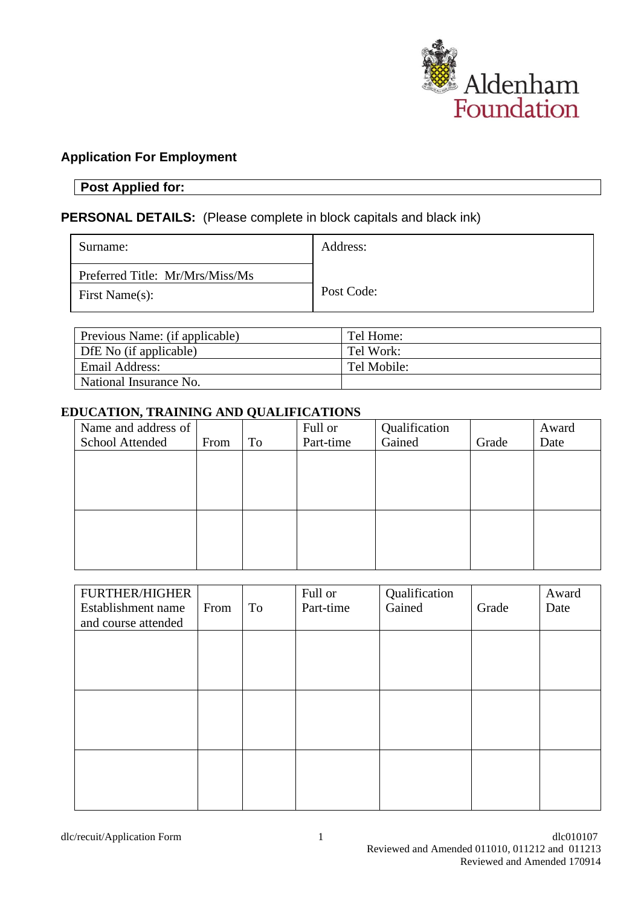

## **Application For Employment**

# **Post Applied for:**

### **PERSONAL DETAILS:** (Please complete in block capitals and black ink)

| Surname:                                          | Address:   |
|---------------------------------------------------|------------|
| Preferred Title: Mr/Mrs/Miss/Ms<br>First Name(s): | Post Code: |

| Previous Name: (if applicable) | Tel Home:   |
|--------------------------------|-------------|
| DfE No (if applicable)         | Tel Work:   |
| Email Address:                 | Tel Mobile: |
| National Insurance No.         |             |

### **EDUCATION, TRAINING AND QUALIFICATIONS**

| Name and address of |      |    | Full or   | Qualification |       | Award |
|---------------------|------|----|-----------|---------------|-------|-------|
| School Attended     | From | To | Part-time | Gained        | Grade | Date  |
|                     |      |    |           |               |       |       |
|                     |      |    |           |               |       |       |
|                     |      |    |           |               |       |       |
|                     |      |    |           |               |       |       |
|                     |      |    |           |               |       |       |
|                     |      |    |           |               |       |       |
|                     |      |    |           |               |       |       |
|                     |      |    |           |               |       |       |

| <b>FURTHER/HIGHER</b><br>Establishment name | From | To | Full or<br>Part-time | Qualification<br>Gained | Grade | Award<br>Date |
|---------------------------------------------|------|----|----------------------|-------------------------|-------|---------------|
| and course attended                         |      |    |                      |                         |       |               |
|                                             |      |    |                      |                         |       |               |
|                                             |      |    |                      |                         |       |               |
|                                             |      |    |                      |                         |       |               |
|                                             |      |    |                      |                         |       |               |
|                                             |      |    |                      |                         |       |               |
|                                             |      |    |                      |                         |       |               |
|                                             |      |    |                      |                         |       |               |
|                                             |      |    |                      |                         |       |               |
|                                             |      |    |                      |                         |       |               |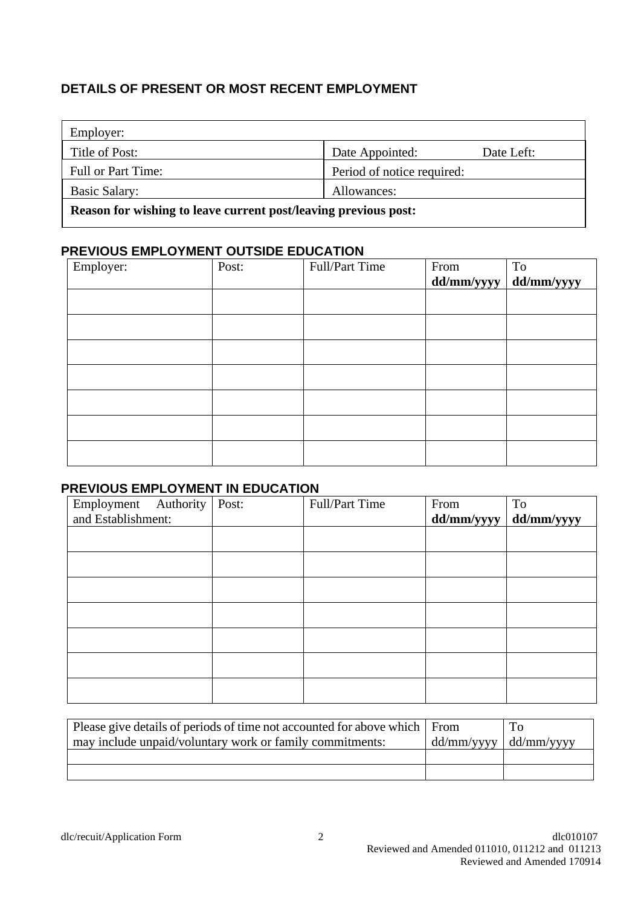# **DETAILS OF PRESENT OR MOST RECENT EMPLOYMENT**

| Employer:          |                            |            |
|--------------------|----------------------------|------------|
| Title of Post:     | Date Appointed:            | Date Left: |
| Full or Part Time: | Period of notice required: |            |
| Basic Salary:      | Allowances:                |            |
|                    |                            |            |

**Reason for wishing to leave current post/leaving previous post:**

### **PREVIOUS EMPLOYMENT OUTSIDE EDUCATION**

| Employer: | Post: | Full/Part Time | From<br>dd/mm/yyyy | To<br>dd/mm/yyyy |
|-----------|-------|----------------|--------------------|------------------|
|           |       |                |                    |                  |
|           |       |                |                    |                  |
|           |       |                |                    |                  |
|           |       |                |                    |                  |
|           |       |                |                    |                  |
|           |       |                |                    |                  |
|           |       |                |                    |                  |
|           |       |                |                    |                  |

### **PREVIOUS EMPLOYMENT IN EDUCATION**

| Employment Authority | Post: | Full/Part Time | From       | <b>To</b>  |
|----------------------|-------|----------------|------------|------------|
| and Establishment:   |       |                | dd/mm/yyyy | dd/mm/yyyy |
|                      |       |                |            |            |
|                      |       |                |            |            |
|                      |       |                |            |            |
|                      |       |                |            |            |
|                      |       |                |            |            |
|                      |       |                |            |            |
|                      |       |                |            |            |
|                      |       |                |            |            |
|                      |       |                |            |            |

| Please give details of periods of time not accounted for above which   From<br>may include unpaid/voluntary work or family commitments: | $\vert$ dd/mm/yyyy $\vert$ dd/mm/yyyy | To |
|-----------------------------------------------------------------------------------------------------------------------------------------|---------------------------------------|----|
|                                                                                                                                         |                                       |    |
|                                                                                                                                         |                                       |    |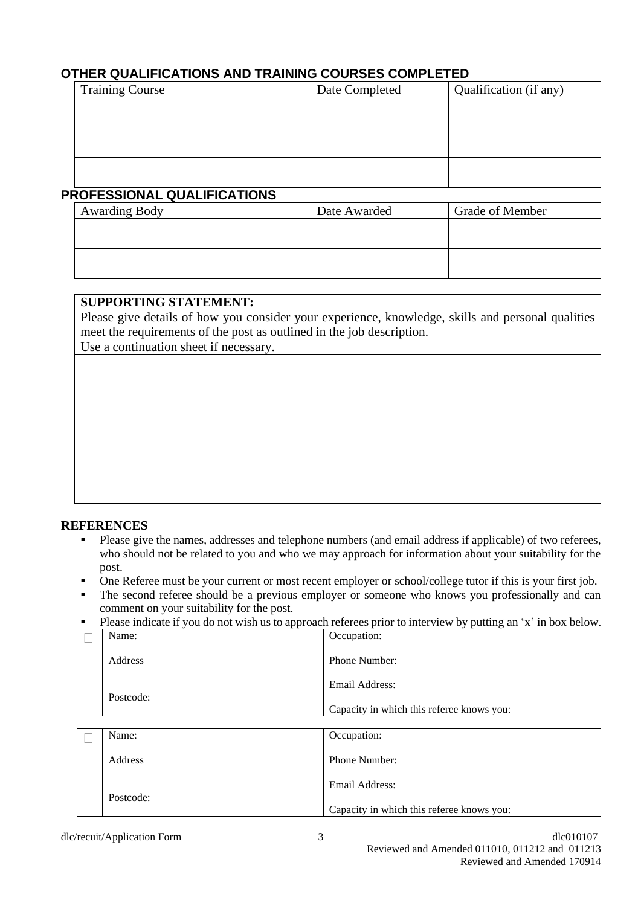### **OTHER QUALIFICATIONS AND TRAINING COURSES COMPLETED**

| <b>Training Course</b> | Date Completed | Qualification (if any) |
|------------------------|----------------|------------------------|
|                        |                |                        |
|                        |                |                        |
|                        |                |                        |
|                        |                |                        |
|                        |                |                        |
|                        |                |                        |

### **PROFESSIONAL QUALIFICATIONS**

| <b>Awarding Body</b> | Date Awarded | <b>Grade of Member</b> |
|----------------------|--------------|------------------------|
|                      |              |                        |
|                      |              |                        |
|                      |              |                        |
|                      |              |                        |

### **SUPPORTING STATEMENT:**

Please give details of how you consider your experience, knowledge, skills and personal qualities meet the requirements of the post as outlined in the job description.

Use a continuation sheet if necessary.

#### **REFERENCES**

- Please give the names, addresses and telephone numbers (and email address if applicable) of two referees, who should not be related to you and who we may approach for information about your suitability for the post.
- One Referee must be your current or most recent employer or school/college tutor if this is your first job.
- The second referee should be a previous employer or someone who knows you professionally and can comment on your suitability for the post.
- Please indicate if you do not wish us to approach referees prior to interview by putting an 'x' in box below.

| Name:     | Occupation:                               |
|-----------|-------------------------------------------|
| Address   | <b>Phone Number:</b>                      |
| Postcode: | Email Address:                            |
|           | Capacity in which this referee knows you: |
|           |                                           |
| Name:     | Occupation:                               |

| └─ |           | ----------                                |
|----|-----------|-------------------------------------------|
|    | Address   | <b>Phone Number:</b>                      |
|    | Postcode: | Email Address:                            |
|    |           | Capacity in which this referee knows you: |
|    |           |                                           |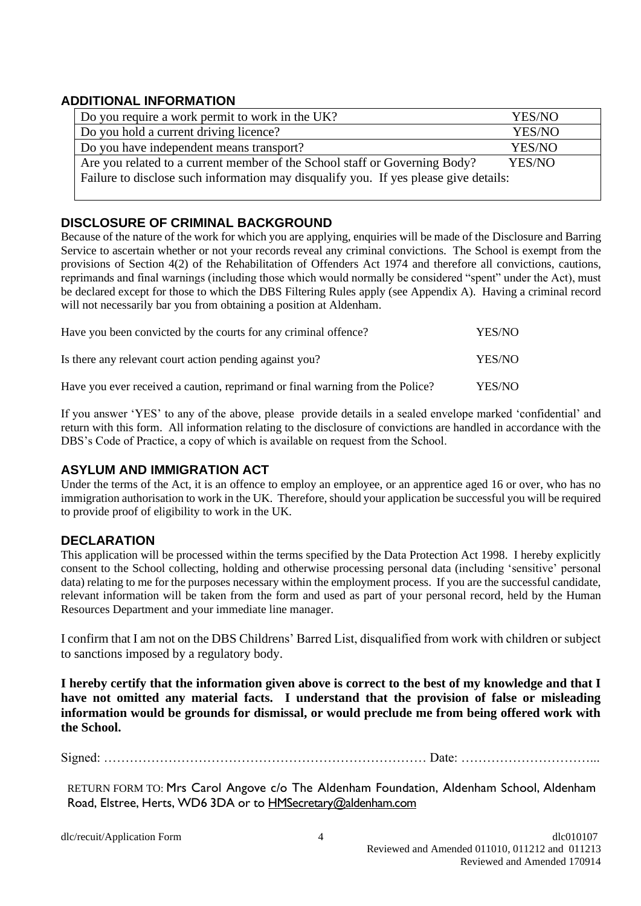### **ADDITIONAL INFORMATION**

| Do you require a work permit to work in the UK?                                      | YES/NO |  |
|--------------------------------------------------------------------------------------|--------|--|
| Do you hold a current driving licence?                                               | YES/NO |  |
| Do you have independent means transport?                                             | YES/NO |  |
| Are you related to a current member of the School staff or Governing Body?           | YES/NO |  |
| Failure to disclose such information may disqualify you. If yes please give details: |        |  |
|                                                                                      |        |  |

### **DISCLOSURE OF CRIMINAL BACKGROUND**

Because of the nature of the work for which you are applying, enquiries will be made of the Disclosure and Barring Service to ascertain whether or not your records reveal any criminal convictions. The School is exempt from the provisions of Section 4(2) of the Rehabilitation of Offenders Act 1974 and therefore all convictions, cautions, reprimands and final warnings (including those which would normally be considered "spent" under the Act), must be declared except for those to which the DBS Filtering Rules apply (see Appendix A). Having a criminal record will not necessarily bar you from obtaining a position at Aldenham.

| Have you been convicted by the courts for any criminal offence?               | YES/NO |
|-------------------------------------------------------------------------------|--------|
| Is there any relevant court action pending against you?                       | YES/NO |
| Have you ever received a caution, reprimand or final warning from the Police? | YES/NO |

If you answer 'YES' to any of the above, please provide details in a sealed envelope marked 'confidential' and return with this form. All information relating to the disclosure of convictions are handled in accordance with the DBS's Code of Practice, a copy of which is available on request from the School.

### **ASYLUM AND IMMIGRATION ACT**

Under the terms of the Act, it is an offence to employ an employee, or an apprentice aged 16 or over, who has no immigration authorisation to work in the UK. Therefore, should your application be successful you will be required to provide proof of eligibility to work in the UK.

### **DECLARATION**

This application will be processed within the terms specified by the Data Protection Act 1998. I hereby explicitly consent to the School collecting, holding and otherwise processing personal data (including 'sensitive' personal data) relating to me for the purposes necessary within the employment process. If you are the successful candidate, relevant information will be taken from the form and used as part of your personal record, held by the Human Resources Department and your immediate line manager.

I confirm that I am not on the DBS Childrens' Barred List, disqualified from work with children or subject to sanctions imposed by a regulatory body.

**I hereby certify that the information given above is correct to the best of my knowledge and that I have not omitted any material facts. I understand that the provision of false or misleading information would be grounds for dismissal, or would preclude me from being offered work with the School.**

Signed: ………………………………………………………………… Date: …………………………...

RETURN FORM TO: Mrs Carol Angove c/o The Aldenham Foundation, Aldenham School, Aldenham Road, Elstree, Herts, WD6 3DA or to [HMSecretary@aldenham.com](mailto:HMSecretary@aldenham.com)